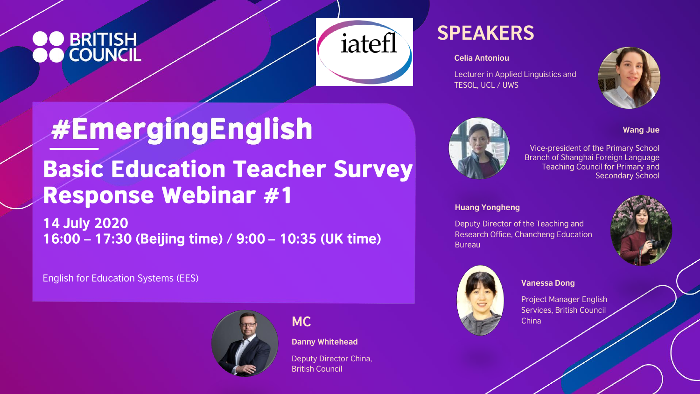# **BRITISH**



## **SPEAKERS**

**Celia Antoniou**

Lecturer in Applied Linguistics and TESOL, UCL / UWS



#### **Wang Jue**

Vice-president of the Primary School Branch of Shanghai Foreign Language Teaching Council for Primary and Secondary School

#### **Huang Yongheng**

Deputy Director of the Teaching and Research Office, Chancheng Education Bureau





**Vanessa Dong**

Project Manager English Services, British Council China

## **#EmergingEnglish Basic Education Teacher Survey Response Webinar #1**

**14 July 2020** 16:00 - 17:30 (Beijing time) / 9:00 - 10:35 (UK time)

English for Education Systems (EES)



**MC**

**Danny Whitehead**

Deputy Director China, British Council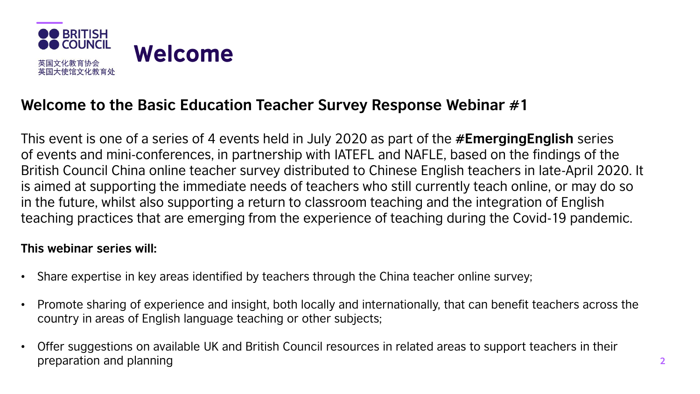

#### **Welcome to the Basic Education Teacher Survey Response Webinar #1**

This event is one of a series of 4 events held in July 2020 as part of the **#EmergingEnglish** series of events and mini-conferences, in partnership with IATEFL and NAFLE, based on the findings of the British Council China online teacher survey distributed to Chinese English teachers in late-April 2020. It is aimed at supporting the immediate needs of teachers who still currently teach online, or may do so in the future, whilst also supporting a return to classroom teaching and the integration of English teaching practices that are emerging from the experience of teaching during the Covid-19 pandemic.

#### **This webinar series will:**

- Share expertise in key areas identified by teachers through the China teacher online survey;
- Promote sharing of experience and insight, both locally and internationally, that can benefit teachers across the country in areas of English language teaching or other subjects;
- Offer suggestions on available UK and British Council resources in related areas to support teachers in their preparation and planning **2**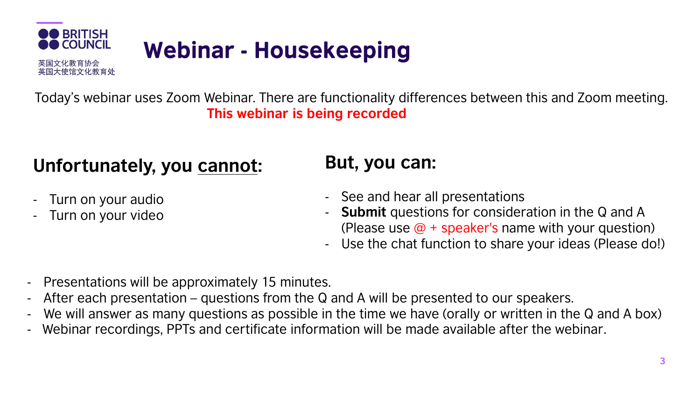

Today's webinar uses Zoom Webinar. There are functionality differences between this and Zoom meeting. **This webinar is being recorded**

## **Unfortunately, you cannot:**

- Turn on your audio
- Turn on your video

### **But, you can:**

- See and hear all presentations
- **Submit** questions for consideration in the Q and A (Please use  $\omega$  + speaker's name with your question)
- Use the chat function to share your ideas (Please do!)
- Presentations will be approximately 15 minutes.
- After each presentation questions from the Q and A will be presented to our speakers.
- We will answer as many questions as possible in the time we have (orally or written in the Q and A box)
- Webinar recordings, PPTs and certificate information will be made available after the webinar.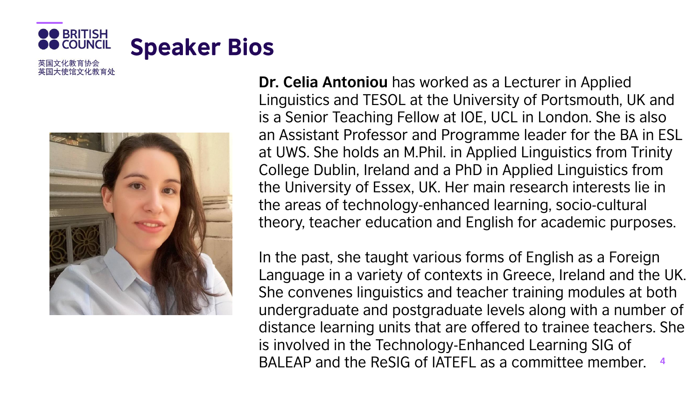

英国大使馆文化教育处



**Dr. Celia Antoniou** has worked as a Lecturer in Applied Linguistics and TESOL at the University of Portsmouth, UK and is a Senior Teaching Fellow at IOE, UCL in London. She is also an Assistant Professor and Programme leader for the BA in ESL at UWS. She holds an M.Phil. in Applied Linguistics from Trinity College Dublin, Ireland and a PhD in Applied Linguistics from the University of Essex, UK. Her main research interests lie in the areas of technology-enhanced learning, socio-cultural theory, teacher education and English for academic purposes.

In the past, she taught various forms of English as a Foreign Language in a variety of contexts in Greece, Ireland and the UK. She convenes linguistics and teacher training modules at both undergraduate and postgraduate levels along with a number of distance learning units that are offered to trainee teachers. She is involved in the Technology-Enhanced Learning SIG of BALEAP and the ReSIG of IATEFL as a committee member. **<sup>4</sup>**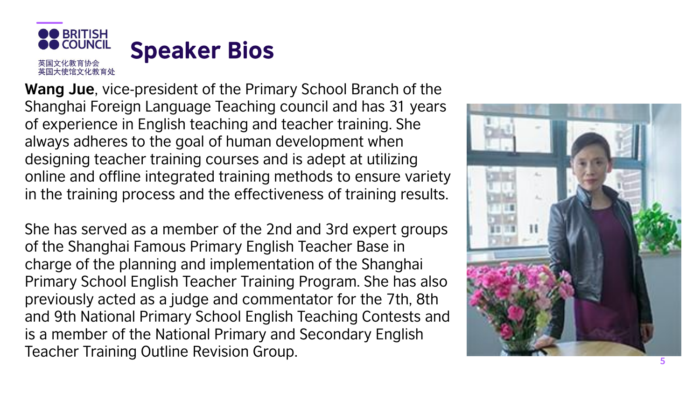

**Wang Jue**, vice -president of the Primary School Branch of the Shanghai Foreign Language Teaching council and has 31 years of experience in English teaching and teacher training. She always adheres to the goal of human development when designing teacher training courses and is adept at utilizing online and offline integrated training methods to ensure variety in the training process and the effectiveness of training results.

She has served as a member of the 2nd and 3rd expert groups of the Shanghai Famous Primary English Teacher Base in charge of the planning and implementation of the Shanghai Primary School English Teacher Training Program. She has also previously acted as a judge and commentator for the 7th, 8th and 9th National Primary School English Teaching Contests and is a member of the National Primary and Secondary English Teacher Training Outline Revision Group.

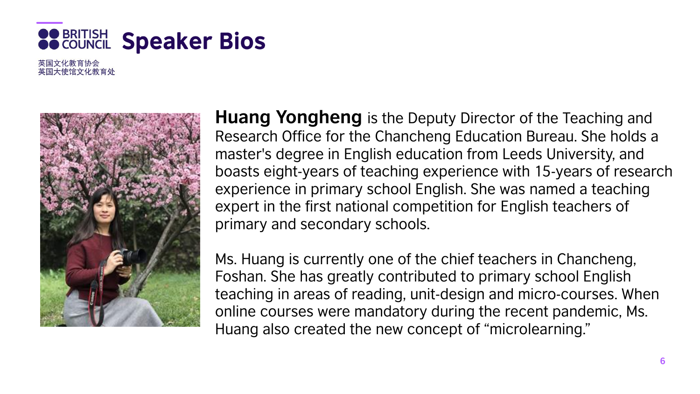

英国文化教育协会 英国大使馆文化教育处



**Huang Yongheng** is the Deputy Director of the Teaching and Research Office for the Chancheng Education Bureau. She holds a master's degree in English education from Leeds University, and boasts eight-years of teaching experience with 15-years of research experience in primary school English. She was named a teaching expert in the first national competition for English teachers of primary and secondary schools.

Ms. Huang is currently one of the chief teachers in Chancheng, Foshan. She has greatly contributed to primary school English teaching in areas of reading, unit-design and micro-courses. When online courses were mandatory during the recent pandemic, Ms. Huang also created the new concept of "microlearning."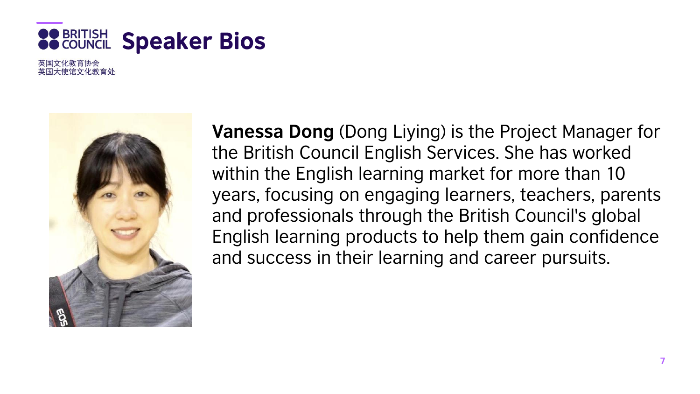

英国大使馆文化教育处



**Vanessa Dong** (Dong Liying) is the Project Manager for the British Council English Services. She has worked within the English learning market for more than 10 years, focusing on engaging learners, teachers, parents and professionals through the British Council's global English learning products to help them gain confidence and success in their learning and career pursuits.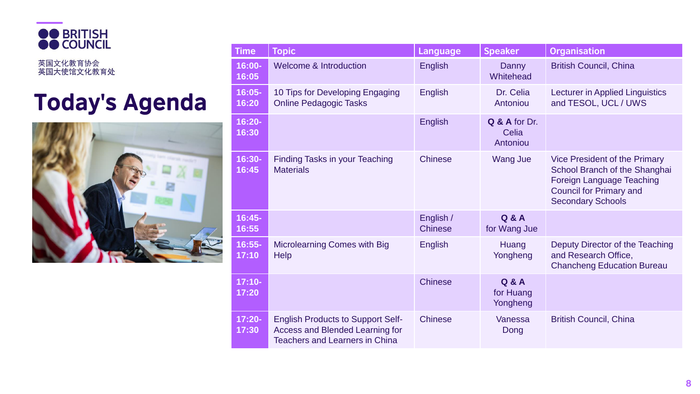

英国文化教育协会<br>英国大使馆文化教育处

## **Today's Agenda**



| <b>Time</b>        | <b>Topic</b>                                                                                                         | Language                    | <b>Speaker</b>                            | <b>Organisation</b>                                                                                                                                              |
|--------------------|----------------------------------------------------------------------------------------------------------------------|-----------------------------|-------------------------------------------|------------------------------------------------------------------------------------------------------------------------------------------------------------------|
| 16:00-<br>16:05    | <b>Welcome &amp; Introduction</b>                                                                                    | <b>English</b>              | Danny<br>Whitehead                        | <b>British Council, China</b>                                                                                                                                    |
| 16:05-<br>16:20    | 10 Tips for Developing Engaging<br><b>Online Pedagogic Tasks</b>                                                     | <b>English</b>              | Dr. Celia<br>Antoniou                     | <b>Lecturer in Applied Linguistics</b><br>and TESOL, UCL / UWS                                                                                                   |
| 16:20-<br>16:30    |                                                                                                                      | <b>English</b>              | Q & A for Dr.<br>Celia<br>Antoniou        |                                                                                                                                                                  |
| 16:30-<br>16:45    | <b>Finding Tasks in your Teaching</b><br><b>Materials</b>                                                            | <b>Chinese</b>              | <b>Wang Jue</b>                           | Vice President of the Primary<br>School Branch of the Shanghai<br><b>Foreign Language Teaching</b><br><b>Council for Primary and</b><br><b>Secondary Schools</b> |
| 16:45-<br>16:55    |                                                                                                                      | English /<br><b>Chinese</b> | Q & A<br>for Wang Jue                     |                                                                                                                                                                  |
| $16:55-$<br>17:10  | <b>Microlearning Comes with Big</b><br><b>Help</b>                                                                   | <b>English</b>              | Huang<br>Yongheng                         | Deputy Director of the Teaching<br>and Research Office,<br><b>Chancheng Education Bureau</b>                                                                     |
| $17:10-$<br>17:20  |                                                                                                                      | <b>Chinese</b>              | <b>Q &amp; A</b><br>for Huang<br>Yongheng |                                                                                                                                                                  |
| $17:20 -$<br>17:30 | <b>English Products to Support Self-</b><br>Access and Blended Learning for<br><b>Teachers and Learners in China</b> | <b>Chinese</b>              | Vanessa<br>Dong                           | <b>British Council, China</b>                                                                                                                                    |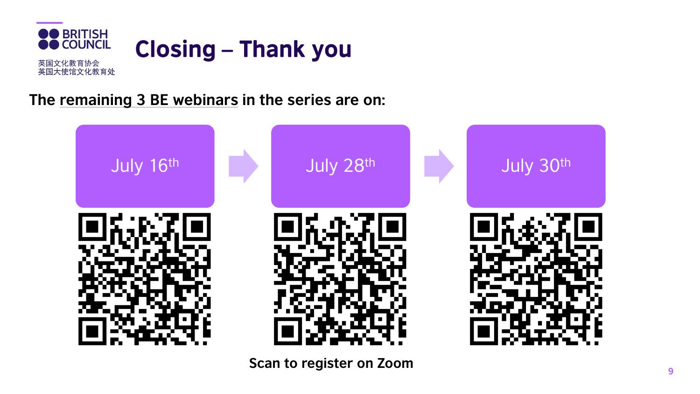

#### **The remaining 3 BE webinars in the series are on:**



**Scan to register on Zoom**